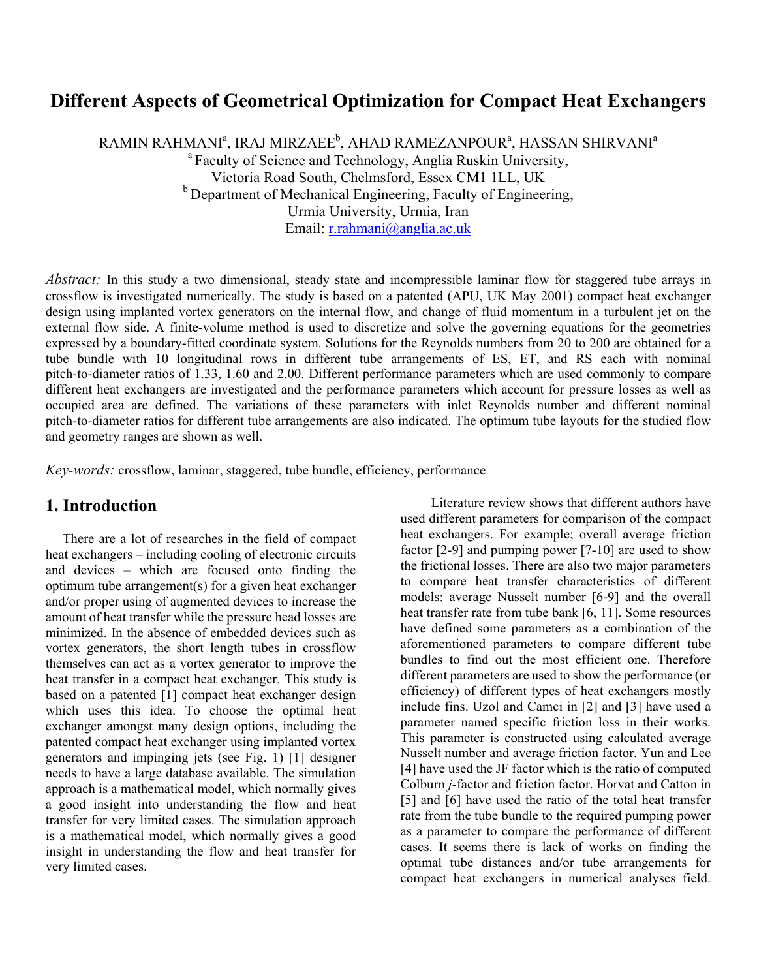# **Different Aspects of Geometrical Optimization for Compact Heat Exchangers**

RAMIN RAHMANIª, IRAJ MIRZAEE<sup>b</sup>, AHAD RAMEZANPOURª, HASSAN SHIRVANIª <sup>a</sup> Faculty of Science and Technology, Anglia Ruskin University, Victoria Road South, Chelmsford, Essex CM1 1LL, UK <sup>b</sup> Department of Mechanical Engineering, Faculty of Engineering, Urmia University, Urmia, Iran Email: r.rahmani@anglia.ac.uk

*Abstract:* In this study a two dimensional, steady state and incompressible laminar flow for staggered tube arrays in crossflow is investigated numerically. The study is based on a patented (APU, UK May 2001) compact heat exchanger design using implanted vortex generators on the internal flow, and change of fluid momentum in a turbulent jet on the external flow side. A finite-volume method is used to discretize and solve the governing equations for the geometries expressed by a boundary-fitted coordinate system. Solutions for the Reynolds numbers from 20 to 200 are obtained for a tube bundle with 10 longitudinal rows in different tube arrangements of ES, ET, and RS each with nominal pitch-to-diameter ratios of 1.33, 1.60 and 2.00. Different performance parameters which are used commonly to compare different heat exchangers are investigated and the performance parameters which account for pressure losses as well as occupied area are defined. The variations of these parameters with inlet Reynolds number and different nominal pitch-to-diameter ratios for different tube arrangements are also indicated. The optimum tube layouts for the studied flow and geometry ranges are shown as well.

*Key-words:* crossflow, laminar, staggered, tube bundle, efficiency, performance

# **1. Introduction**

 There are a lot of researches in the field of compact heat exchangers – including cooling of electronic circuits and devices – which are focused onto finding the optimum tube arrangement(s) for a given heat exchanger and/or proper using of augmented devices to increase the amount of heat transfer while the pressure head losses are minimized. In the absence of embedded devices such as vortex generators, the short length tubes in crossflow themselves can act as a vortex generator to improve the heat transfer in a compact heat exchanger. This study is based on a patented [1] compact heat exchanger design which uses this idea. To choose the optimal heat exchanger amongst many design options, including the patented compact heat exchanger using implanted vortex generators and impinging jets (see Fig. 1) [1] designer needs to have a large database available. The simulation approach is a mathematical model, which normally gives a good insight into understanding the flow and heat transfer for very limited cases. The simulation approach is a mathematical model, which normally gives a good insight in understanding the flow and heat transfer for very limited cases.

 Literature review shows that different authors have used different parameters for comparison of the compact heat exchangers. For example; overall average friction factor [2-9] and pumping power [7-10] are used to show the frictional losses. There are also two major parameters to compare heat transfer characteristics of different models: average Nusselt number [6-9] and the overall heat transfer rate from tube bank [6, 11]. Some resources have defined some parameters as a combination of the aforementioned parameters to compare different tube bundles to find out the most efficient one. Therefore different parameters are used to show the performance (or efficiency) of different types of heat exchangers mostly include fins. Uzol and Camci in [2] and [3] have used a parameter named specific friction loss in their works. This parameter is constructed using calculated average Nusselt number and average friction factor. Yun and Lee [4] have used the JF factor which is the ratio of computed Colburn *j*-factor and friction factor. Horvat and Catton in [5] and [6] have used the ratio of the total heat transfer rate from the tube bundle to the required pumping power as a parameter to compare the performance of different cases. It seems there is lack of works on finding the optimal tube distances and/or tube arrangements for compact heat exchangers in numerical analyses field.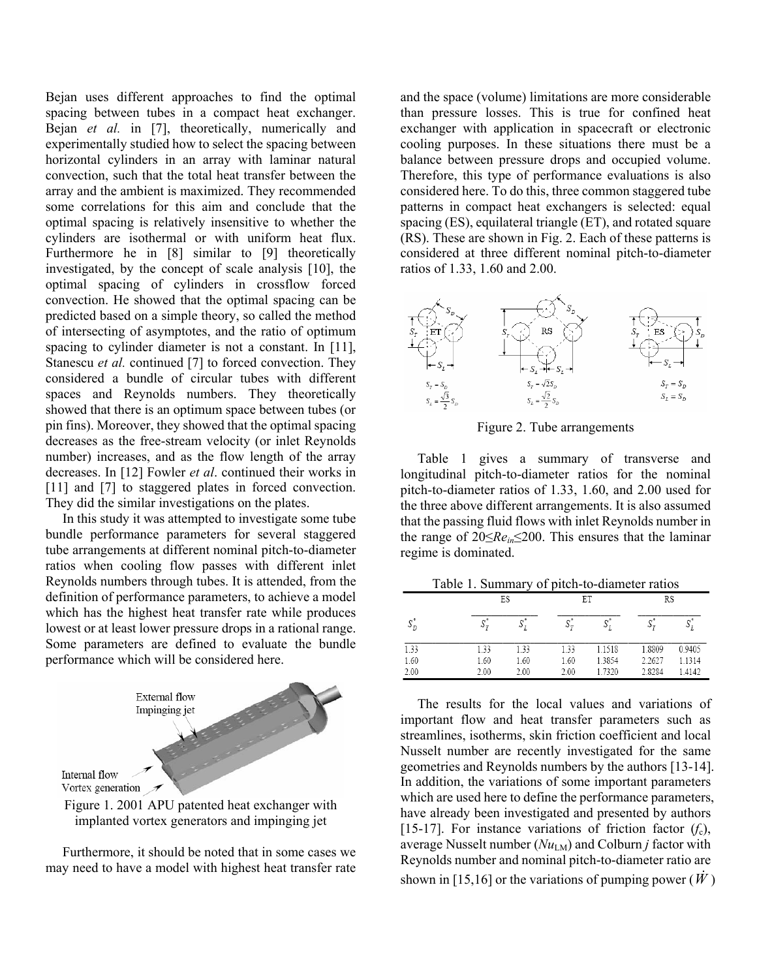Bejan uses different approaches to find the optimal spacing between tubes in a compact heat exchanger. Bejan *et al.* in [7], theoretically, numerically and experimentally studied how to select the spacing between horizontal cylinders in an array with laminar natural convection, such that the total heat transfer between the array and the ambient is maximized. They recommended some correlations for this aim and conclude that the optimal spacing is relatively insensitive to whether the cylinders are isothermal or with uniform heat flux. Furthermore he in [8] similar to [9] theoretically investigated, by the concept of scale analysis [10], the optimal spacing of cylinders in crossflow forced convection. He showed that the optimal spacing can be predicted based on a simple theory, so called the method of intersecting of asymptotes, and the ratio of optimum spacing to cylinder diameter is not a constant. In [11], Stanescu *et al.* continued [7] to forced convection. They considered a bundle of circular tubes with different spaces and Reynolds numbers. They theoretically showed that there is an optimum space between tubes (or pin fins). Moreover, they showed that the optimal spacing decreases as the free-stream velocity (or inlet Reynolds number) increases, and as the flow length of the array decreases. In [12] Fowler *et al*. continued their works in [11] and [7] to staggered plates in forced convection. They did the similar investigations on the plates.

 In this study it was attempted to investigate some tube bundle performance parameters for several staggered tube arrangements at different nominal pitch-to-diameter ratios when cooling flow passes with different inlet Reynolds numbers through tubes. It is attended, from the definition of performance parameters, to achieve a model which has the highest heat transfer rate while produces lowest or at least lower pressure drops in a rational range. Some parameters are defined to evaluate the bundle performance which will be considered here.



 Furthermore, it should be noted that in some cases we may need to have a model with highest heat transfer rate

and the space (volume) limitations are more considerable than pressure losses. This is true for confined heat exchanger with application in spacecraft or electronic cooling purposes. In these situations there must be a balance between pressure drops and occupied volume. Therefore, this type of performance evaluations is also considered here. To do this, three common staggered tube patterns in compact heat exchangers is selected: equal spacing (ES), equilateral triangle (ET), and rotated square (RS). These are shown in Fig. 2. Each of these patterns is considered at three different nominal pitch-to-diameter ratios of 1.33, 1.60 and 2.00.



Figure 2. Tube arrangements

 Table 1 gives a summary of transverse and longitudinal pitch-to-diameter ratios for the nominal pitch-to-diameter ratios of 1.33, 1.60, and 2.00 used for the three above different arrangements. It is also assumed that the passing fluid flows with inlet Reynolds number in the range of 20≤*Rein*≤200. This ensures that the laminar regime is dominated.

| Table 1. Summary of pitch-to-diameter ratios |      |      |      |        |        |        |  |  |
|----------------------------------------------|------|------|------|--------|--------|--------|--|--|
|                                              |      | ES   |      | ЕT     |        | RS     |  |  |
|                                              |      |      |      |        |        |        |  |  |
| 1.33                                         | 1.33 | 1.33 | 1.33 | 1.1518 | 1.8809 | 0.9405 |  |  |
| 1.60                                         | 1.60 | 1.60 | 1.60 | 1.3854 | 2.2627 | 1.1314 |  |  |
| 2.00                                         | 2.00 | 2.00 | 2.00 | 1.7320 | 28284  | 1.4142 |  |  |

 The results for the local values and variations of important flow and heat transfer parameters such as streamlines, isotherms, skin friction coefficient and local Nusselt number are recently investigated for the same geometries and Reynolds numbers by the authors [13-14]. In addition, the variations of some important parameters which are used here to define the performance parameters, have already been investigated and presented by authors [15-17]. For instance variations of friction factor  $(f_c)$ , average Nusselt number  $(Nu_{LM})$  and Colburn *j* factor with Reynolds number and nominal pitch-to-diameter ratio are shown in [15,16] or the variations of pumping power  $(W)$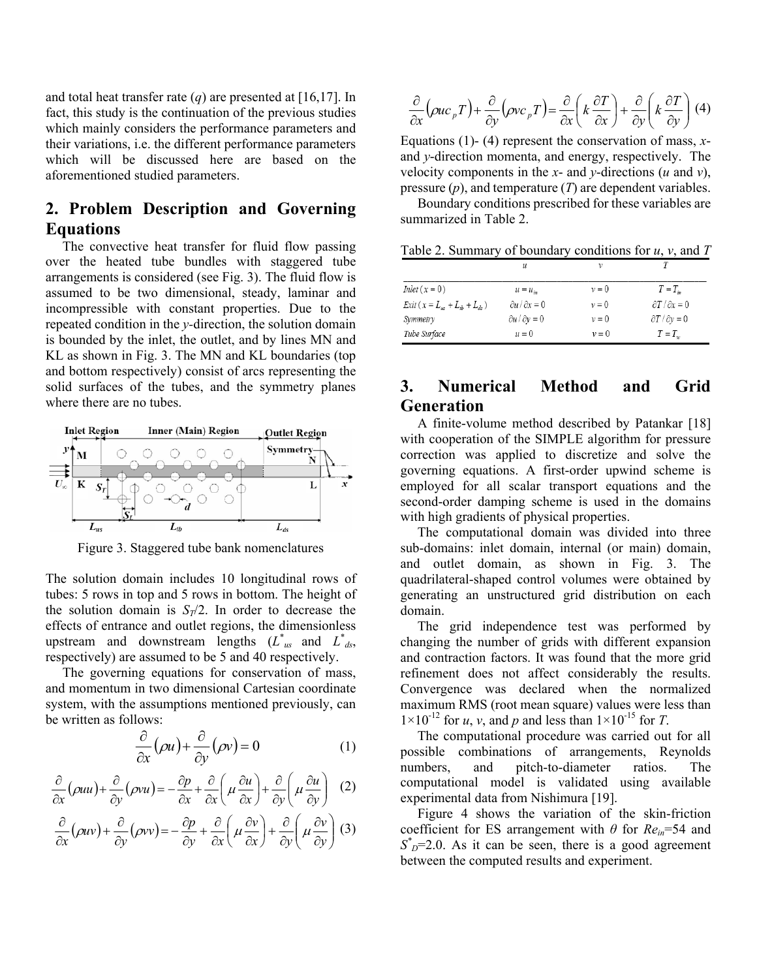and total heat transfer rate (*q*) are presented at [16,17]. In fact, this study is the continuation of the previous studies which mainly considers the performance parameters and their variations, i.e. the different performance parameters which will be discussed here are based on the aforementioned studied parameters.

# **2. Problem Description and Governing Equations**

 The convective heat transfer for fluid flow passing over the heated tube bundles with staggered tube arrangements is considered (see Fig. 3). The fluid flow is assumed to be two dimensional, steady, laminar and incompressible with constant properties. Due to the repeated condition in the *y-*direction, the solution domain is bounded by the inlet, the outlet, and by lines MN and KL as shown in Fig. 3. The MN and KL boundaries (top and bottom respectively) consist of arcs representing the solid surfaces of the tubes, and the symmetry planes where there are no tubes.



Figure 3. Staggered tube bank nomenclatures

The solution domain includes 10 longitudinal rows of tubes: 5 rows in top and 5 rows in bottom. The height of the solution domain is  $S_T/2$ . In order to decrease the effects of entrance and outlet regions, the dimensionless upstream and downstream lengths  $(L^*_{us}$  and  $L^*_{ds}$ , respectively) are assumed to be 5 and 40 respectively.

 The governing equations for conservation of mass, and momentum in two dimensional Cartesian coordinate system, with the assumptions mentioned previously, can be written as follows:

$$
\frac{\partial}{\partial x}(\rho u) + \frac{\partial}{\partial y}(\rho v) = 0 \tag{1}
$$

$$
\frac{\partial}{\partial x}(\rho uu) + \frac{\partial}{\partial y}(\rho vu) = -\frac{\partial p}{\partial x} + \frac{\partial}{\partial x}\left(\mu \frac{\partial u}{\partial x}\right) + \frac{\partial}{\partial y}\left(\mu \frac{\partial u}{\partial y}\right) (2)
$$

$$
\frac{\partial}{\partial x}(\rho uv) + \frac{\partial}{\partial y}(\rho vv) = -\frac{\partial p}{\partial y} + \frac{\partial}{\partial x}\left(\mu \frac{\partial v}{\partial x}\right) + \frac{\partial}{\partial y}\left(\mu \frac{\partial v}{\partial y}\right)
$$
 (3)

$$
\frac{\partial}{\partial x} \left( \rho u c_p T \right) + \frac{\partial}{\partial y} \left( \rho v c_p T \right) = \frac{\partial}{\partial x} \left( k \frac{\partial T}{\partial x} \right) + \frac{\partial}{\partial y} \left( k \frac{\partial T}{\partial y} \right) (4)
$$

Equations (1)- (4) represent the conservation of mass, *x*and *y*-direction momenta, and energy, respectively. The velocity components in the *x*- and *y*-directions (*u* and *v*), pressure (*p*), and temperature (*T*) are dependent variables.

 Boundary conditions prescribed for these variables are summarized in Table 2.

|  | Table 2. Summary of boundary conditions for $u$ , $v$ , and $T$ |  |  |
|--|-----------------------------------------------------------------|--|--|
|  |                                                                 |  |  |

|                                                |                               | $\mathbf{v}$ |                               |
|------------------------------------------------|-------------------------------|--------------|-------------------------------|
| <i>Inlet</i> ( $x = 0$ )                       | $u = u_{in}$                  | $v = 0$      | $T=T_{in}$                    |
| <i>Exit</i> ( $x = L_{us} + L_{tb} + L_{ds}$ ) | $\partial u / \partial x = 0$ | $v = 0$      | $\partial T / \partial x = 0$ |
| Symmetry                                       | $\partial u / \partial y = 0$ | $v = 0$      | $\partial T / \partial y = 0$ |
| Tube Surface                                   | $u = 0$                       | $v = 0$      | $T = T_{\rm w}$               |

# **3. Numerical Method and Grid Generation**

 A finite-volume method described by Patankar [18] with cooperation of the SIMPLE algorithm for pressure correction was applied to discretize and solve the governing equations. A first-order upwind scheme is employed for all scalar transport equations and the second-order damping scheme is used in the domains with high gradients of physical properties.

 The computational domain was divided into three sub-domains: inlet domain, internal (or main) domain, and outlet domain, as shown in Fig. 3. The quadrilateral-shaped control volumes were obtained by generating an unstructured grid distribution on each domain.

 The grid independence test was performed by changing the number of grids with different expansion and contraction factors. It was found that the more grid refinement does not affect considerably the results. Convergence was declared when the normalized maximum RMS (root mean square) values were less than  $1\times10^{-12}$  for *u*, *v*, and *p* and less than  $1\times10^{-15}$  for *T*.

 The computational procedure was carried out for all possible combinations of arrangements, Reynolds numbers, and pitch-to-diameter ratios. The computational model is validated using available experimental data from Nishimura [19].

 Figure 4 shows the variation of the skin-friction coefficient for ES arrangement with *θ* for *Rein*=54 and  $S_{D}^{*}$ =2.0. As it can be seen, there is a good agreement between the computed results and experiment.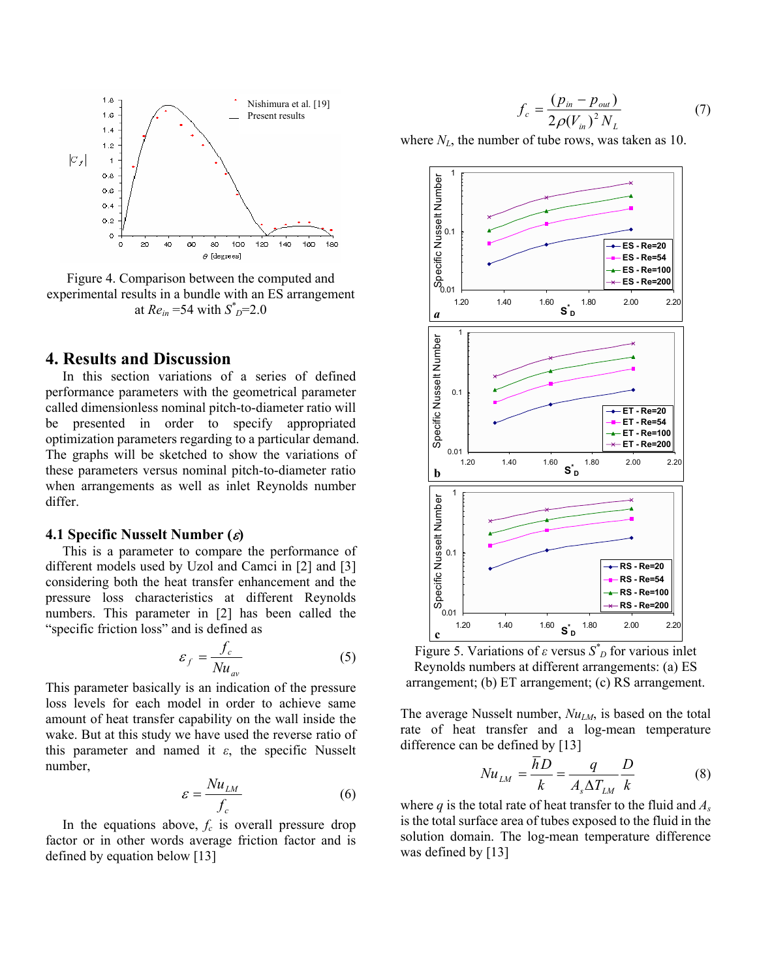

Figure 4. Comparison between the computed and experimental results in a bundle with an ES arrangement at  $Re_{in} = 54$  with  $S_{D}^{*}=2.0$ 

## **4. Results and Discussion**

 In this section variations of a series of defined performance parameters with the geometrical parameter called dimensionless nominal pitch-to-diameter ratio will be presented in order to specify appropriated optimization parameters regarding to a particular demand. The graphs will be sketched to show the variations of these parameters versus nominal pitch-to-diameter ratio when arrangements as well as inlet Reynolds number differ.

#### **4.1 Specific Nusselt Number (**ε**)**

 This is a parameter to compare the performance of different models used by Uzol and Camci in [2] and [3] considering both the heat transfer enhancement and the pressure loss characteristics at different Reynolds numbers. This parameter in [2] has been called the "specific friction loss" and is defined as

$$
\varepsilon_f = \frac{f_c}{Nu_{av}}\tag{5}
$$

This parameter basically is an indication of the pressure loss levels for each model in order to achieve same amount of heat transfer capability on the wall inside the wake. But at this study we have used the reverse ratio of this parameter and named it *ε*, the specific Nusselt number,

$$
\varepsilon = \frac{Nu_{LM}}{f_c} \tag{6}
$$

In the equations above,  $f_c$  is overall pressure drop factor or in other words average friction factor and is defined by equation below [13]

$$
f_c = \frac{(p_{in} - p_{out})}{2\rho(V_{in})^2 N_L}
$$
 (7)

where  $N_L$ , the number of tube rows, was taken as 10.



Figure 5. Variations of *ε* versus *S\* <sup>D</sup>* for various inlet Reynolds numbers at different arrangements: (a) ES arrangement; (b) ET arrangement; (c) RS arrangement.

The average Nusselt number,  $Nu<sub>LM</sub>$ , is based on the total rate of heat transfer and a log-mean temperature difference can be defined by [13]

$$
Nu_{LM} = \frac{hD}{k} = \frac{q}{A_s \Delta T_{LM}} \frac{D}{k}
$$
 (8)

where  $q$  is the total rate of heat transfer to the fluid and  $A_s$ is the total surface area of tubes exposed to the fluid in the solution domain. The log-mean temperature difference was defined by [13]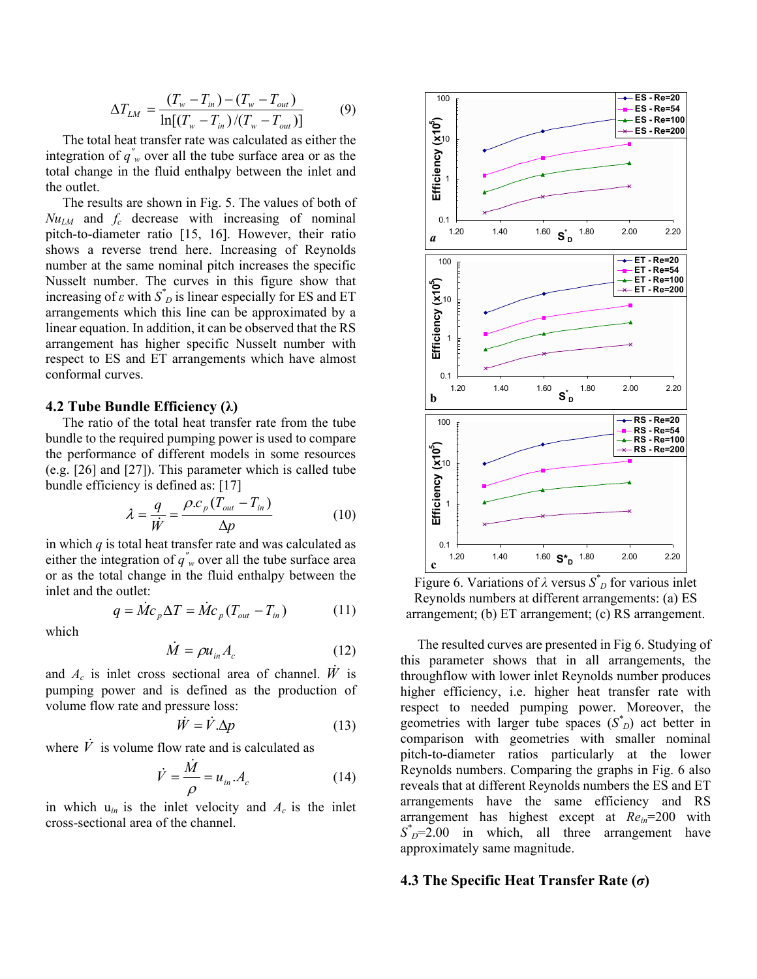$$
\Delta T_{LM} = \frac{(T_w - T_{in}) - (T_w - T_{out})}{\ln[(T_w - T_{in})/(T_w - T_{out})]}
$$
(9)

 The total heat transfer rate was calculated as either the integration of  $q''_w$  over all the tube surface area or as the total change in the fluid enthalpy between the inlet and the outlet.

 The results are shown in Fig. 5. The values of both of  $Nu<sub>LM</sub>$  and  $f_c$  decrease with increasing of nominal pitch-to-diameter ratio [15, 16]. However, their ratio shows a reverse trend here. Increasing of Reynolds number at the same nominal pitch increases the specific Nusselt number. The curves in this figure show that increasing of  $\varepsilon$  with  $S^*_{D}$  is linear especially for ES and ET arrangements which this line can be approximated by a linear equation. In addition, it can be observed that the RS arrangement has higher specific Nusselt number with respect to ES and ET arrangements which have almost conformal curves.

### **4.2 Tube Bundle Efficiency (λ)**

 The ratio of the total heat transfer rate from the tube bundle to the required pumping power is used to compare the performance of different models in some resources (e.g. [26] and [27]). This parameter which is called tube bundle efficiency is defined as: [17]

$$
\lambda = \frac{q}{\dot{W}} = \frac{\rho.c_p(T_{out} - T_{in})}{\Delta p}
$$
(10)

in which *q* is total heat transfer rate and was calculated as either the integration of  $q''_w$  over all the tube surface area or as the total change in the fluid enthalpy between the inlet and the outlet:

 $q = \dot{M}c_n\Delta T = \dot{M}c_n(T_{out} - T_{in})$  (11)

which

$$
\dot{M} = \rho u_{in} A_c \tag{12}
$$

and  $A_c$  is inlet cross sectional area of channel.  $\dot{W}$  is pumping power and is defined as the production of volume flow rate and pressure loss:

$$
\dot{W} = \dot{V}.\Delta p \tag{13}
$$

where  $\dot{V}$  is volume flow rate and is calculated as

$$
\dot{V} = \frac{\dot{M}}{\rho} = u_{in}.A_c \tag{14}
$$

in which  $u_{in}$  is the inlet velocity and  $A_c$  is the inlet cross-sectional area of the channel.



Figure 6. Variations of  $\lambda$  versus  $S<sup>*</sup><sub>D</sub>$  for various inlet Reynolds numbers at different arrangements: (a) ES arrangement; (b) ET arrangement; (c) RS arrangement.

 The resulted curves are presented in Fig 6. Studying of this parameter shows that in all arrangements, the throughflow with lower inlet Reynolds number produces higher efficiency, i.e. higher heat transfer rate with respect to needed pumping power. Moreover, the geometries with larger tube spaces  $(S<sup>*</sup><sub>D</sub>)$  act better in comparison with geometries with smaller nominal pitch-to-diameter ratios particularly at the lower Reynolds numbers. Comparing the graphs in Fig. 6 also reveals that at different Reynolds numbers the ES and ET arrangements have the same efficiency and RS arrangement has highest except at *Rein*=200 with  $S_{D}^{*} = 2.00$  in which, all three arrangement have approximately same magnitude.

#### **4.3 The Specific Heat Transfer Rate (***σ***)**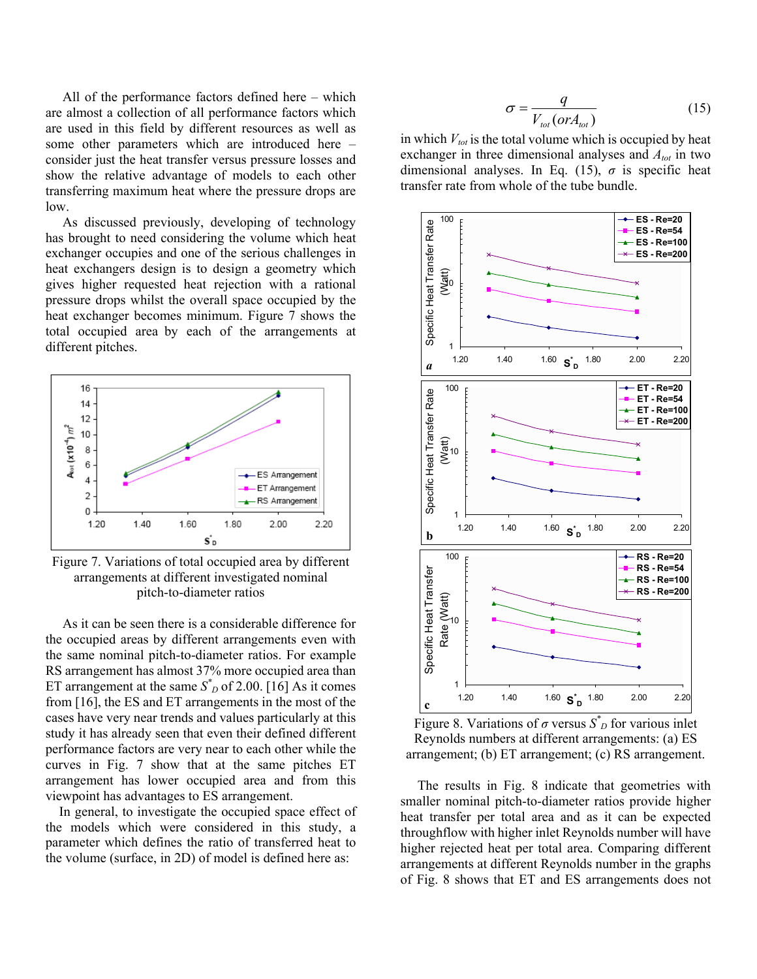All of the performance factors defined here – which are almost a collection of all performance factors which are used in this field by different resources as well as some other parameters which are introduced here – consider just the heat transfer versus pressure losses and show the relative advantage of models to each other transferring maximum heat where the pressure drops are low.

 As discussed previously, developing of technology has brought to need considering the volume which heat exchanger occupies and one of the serious challenges in heat exchangers design is to design a geometry which gives higher requested heat rejection with a rational pressure drops whilst the overall space occupied by the heat exchanger becomes minimum. Figure 7 shows the total occupied area by each of the arrangements at different pitches.



Figure 7. Variations of total occupied area by different arrangements at different investigated nominal pitch-to-diameter ratios

 As it can be seen there is a considerable difference for the occupied areas by different arrangements even with the same nominal pitch-to-diameter ratios. For example RS arrangement has almost 37% more occupied area than ET arrangement at the same  $S_{D}^{*}$  of 2.00. [16] As it comes from [16], the ES and ET arrangements in the most of the cases have very near trends and values particularly at this study it has already seen that even their defined different performance factors are very near to each other while the curves in Fig. 7 show that at the same pitches ET arrangement has lower occupied area and from this viewpoint has advantages to ES arrangement.

 In general, to investigate the occupied space effect of the models which were considered in this study, a parameter which defines the ratio of transferred heat to the volume (surface, in 2D) of model is defined here as:

$$
\sigma = \frac{q}{V_{tot}(orA_{tot})}
$$
 (15)

in which  $V_{tot}$  is the total volume which is occupied by heat exchanger in three dimensional analyses and  $A_{tot}$  in two dimensional analyses. In Eq. (15),  $\sigma$  is specific heat transfer rate from whole of the tube bundle.



Figure 8. Variations of  $\sigma$  versus  $S<sup>*</sup><sub>D</sub>$  for various inlet Reynolds numbers at different arrangements: (a) ES arrangement; (b) ET arrangement; (c) RS arrangement.

 The results in Fig. 8 indicate that geometries with smaller nominal pitch-to-diameter ratios provide higher heat transfer per total area and as it can be expected throughflow with higher inlet Reynolds number will have higher rejected heat per total area. Comparing different arrangements at different Reynolds number in the graphs of Fig. 8 shows that ET and ES arrangements does not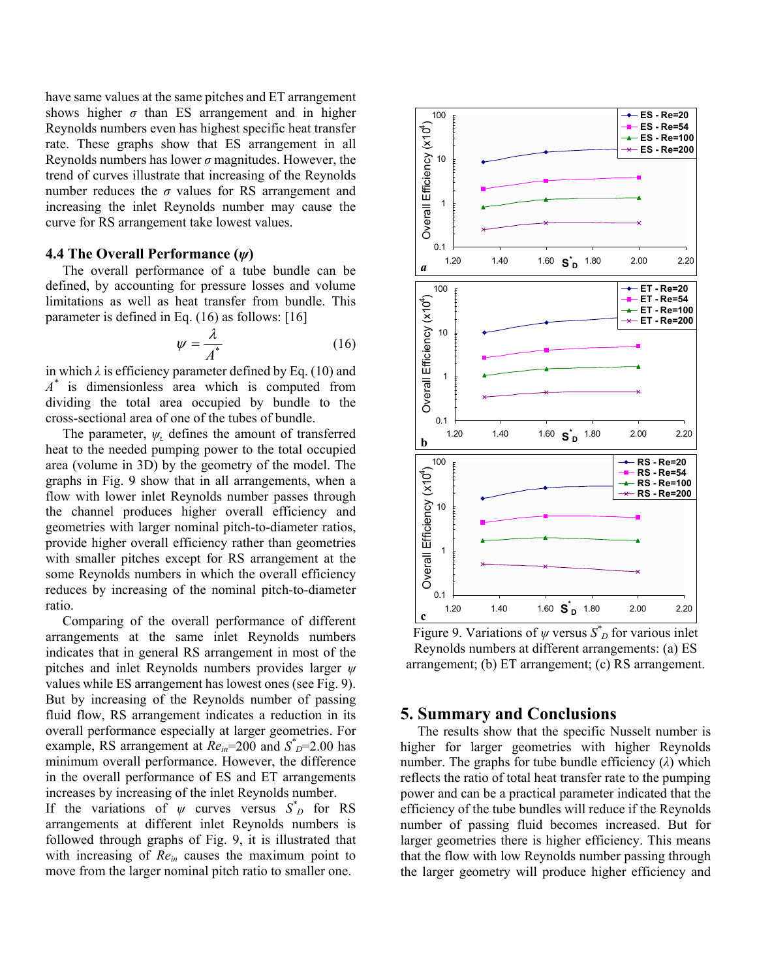have same values at the same pitches and ET arrangement shows higher  $\sigma$  than ES arrangement and in higher Reynolds numbers even has highest specific heat transfer rate. These graphs show that ES arrangement in all Reynolds numbers has lower *σ* magnitudes. However, the trend of curves illustrate that increasing of the Reynolds number reduces the  $\sigma$  values for RS arrangement and increasing the inlet Reynolds number may cause the curve for RS arrangement take lowest values.

#### **4.4 The Overall Performance (***ψ***)**

 The overall performance of a tube bundle can be defined, by accounting for pressure losses and volume limitations as well as heat transfer from bundle. This parameter is defined in Eq. (16) as follows: [16]

$$
\psi = \frac{\lambda}{A^*} \tag{16}
$$

in which  $\lambda$  is efficiency parameter defined by Eq. (10) and *A\** is dimensionless area which is computed from dividing the total area occupied by bundle to the cross-sectional area of one of the tubes of bundle.

 The parameter, *ψ,* defines the amount of transferred heat to the needed pumping power to the total occupied area (volume in 3D) by the geometry of the model. The graphs in Fig. 9 show that in all arrangements, when a flow with lower inlet Reynolds number passes through the channel produces higher overall efficiency and geometries with larger nominal pitch-to-diameter ratios, provide higher overall efficiency rather than geometries with smaller pitches except for RS arrangement at the some Reynolds numbers in which the overall efficiency reduces by increasing of the nominal pitch-to-diameter ratio.

 Comparing of the overall performance of different arrangements at the same inlet Reynolds numbers indicates that in general RS arrangement in most of the pitches and inlet Reynolds numbers provides larger *ψ* values while ES arrangement has lowest ones (see Fig. 9). But by increasing of the Reynolds number of passing fluid flow, RS arrangement indicates a reduction in its overall performance especially at larger geometries. For example, RS arrangement at  $Re_{in} = 200$  and  $S^*_{D} = 2.00$  has minimum overall performance. However, the difference in the overall performance of ES and ET arrangements increases by increasing of the inlet Reynolds number.

If the variations of  $\psi$  curves versus  $S^*_{D}$  for RS arrangements at different inlet Reynolds numbers is followed through graphs of Fig. 9, it is illustrated that with increasing of *Rein* causes the maximum point to move from the larger nominal pitch ratio to smaller one.



Figure 9. Variations of  $\psi$  versus  $S<sup>*</sup><sub>D</sub>$  for various inlet Reynolds numbers at different arrangements: (a) ES arrangement; (b) ET arrangement; (c) RS arrangement.

# **5. Summary and Conclusions**

 The results show that the specific Nusselt number is higher for larger geometries with higher Reynolds number. The graphs for tube bundle efficiency (*λ*) which reflects the ratio of total heat transfer rate to the pumping power and can be a practical parameter indicated that the efficiency of the tube bundles will reduce if the Reynolds number of passing fluid becomes increased. But for larger geometries there is higher efficiency. This means that the flow with low Reynolds number passing through the larger geometry will produce higher efficiency and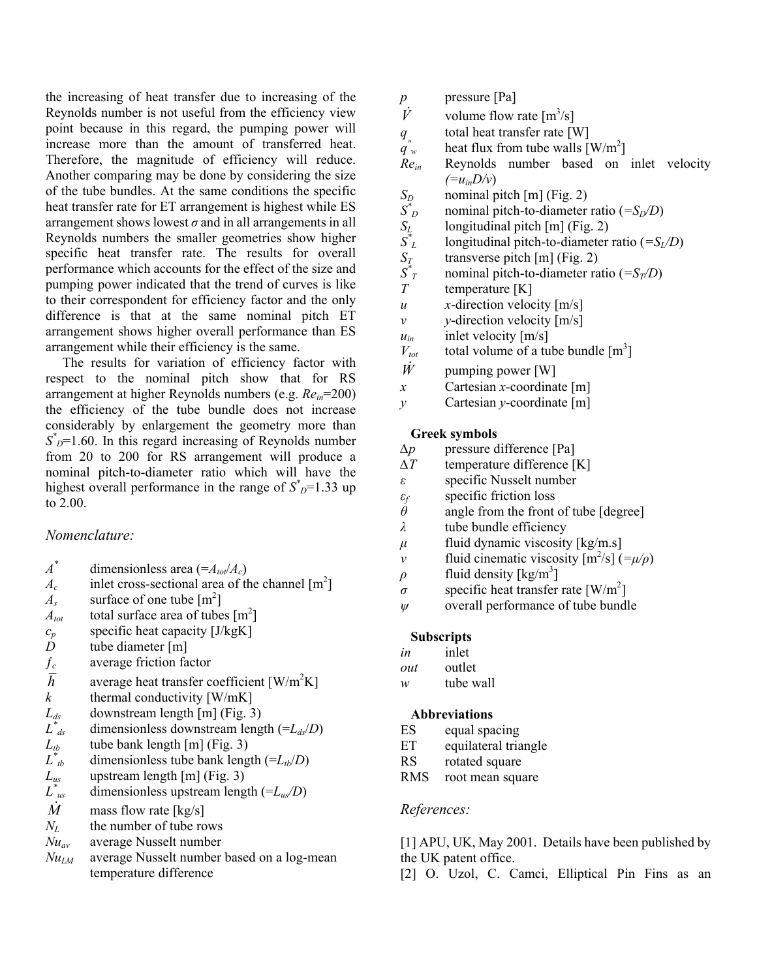the increasing of heat transfer due to increasing of the Reynolds number is not useful from the efficiency view point because in this regard, the pumping power will increase more than the amount of transferred heat. Therefore, the magnitude of efficiency will reduce. Another comparing may be done by considering the size of the tube bundles. At the same conditions the specific heat transfer rate for ET arrangement is highest while ES arrangement shows lowest  $\sigma$  and in all arrangements in all Reynolds numbers the smaller geometries show higher specific heat transfer rate. The results for overall performance which accounts for the effect of the size and pumping power indicated that the trend of curves is like to their correspondent for efficiency factor and the only difference is that at the same nominal pitch ET arrangement shows higher overall performance than ES arrangement while their efficiency is the same.

 The results for variation of efficiency factor with respect to the nominal pitch show that for RS arrangement at higher Reynolds numbers (e.g. *Rein*=200) the efficiency of the tube bundle does not increase considerably by enlargement the geometry more than  $S^*_{D}$ =1.60. In this regard increasing of Reynolds number from 20 to 200 for RS arrangement will produce a nominal pitch-to-diameter ratio which will have the highest overall performance in the range of  $S_{D}^{*}=1.33$  up to 2.00.

### *Nomenclature:*

- *A\** dimensionless area  $(=A_{tot}/A_c)$
- $A_c$  inlet cross-sectional area of the channel  $[m^2]$
- $A_s$  surface of one tube  $\text{[m}^2\text{]}$
- $A_{tot}$  total surface area of tubes  $[m^2]$
- $c_p$  specific heat capacity [J/kgK]<br>*D* tube diameter [m]
- tube diameter [m]
- *ƒc* average friction factor
- $\bar{h}$  average heat transfer coefficient [W/m<sup>2</sup>K]
- *k* thermal conductivity  $[W/mK]$
- $L_{ds}$  downstream length [m] (Fig. 3)
- $L^*_{\leq dS}$ dimensionless downstream length  $(=L_{dS}/D)$
- $L_{tb}$  tube bank length [m] (Fig. 3)
- $L^*$ <sub>*tb*</sub> *dimensionless tube bank length (* $=L<sub>tb</sub>/D$ *)*
- *Lus* upstream length [m] (Fig. 3)
- $L^*$ <sub>us</sub> dimensionless upstream length  $(=L_{us}/D)$
- $\dot{M}$  mass flow rate [kg/s]
- *NL* the number of tube rows
- *Nuav* average Nusselt number
- $Nu<sub>LM</sub>$  average Nusselt number based on a log-mean temperature difference
- *p* pressure [Pa]
- $\dot{V}$  volume flow rate  $[m^3/s]$
- *q* total heat transfer rate [W]
- *q*<sup>*w*</sup> w heat flux from tube walls  $\text{[W/m}^2\text{]}$
- *Rein* Reynolds number based on inlet velocity  $(=u_{in}D/v)$
- nominal pitch  $[m]$  (Fig. 2)  $S_D^D$
- nominal pitch-to-diameter ratio  $(=S_D/D)$
- longitudinal pitch  $[m]$  (Fig. 2)
- $S_L$ <br> $S^*$  $longitudinal pitch-to-diameter ratio (=S<sub>I</sub>/D)$
- $S_T$  transverse pitch [m] (Fig. 2)
- $S^*$ <sub>*T*</sub> nominal pitch-to-diameter ratio  $( = S_T/D)$
- *T* temperature [K]
- *u x*-direction velocity [m/s]
- $\nu$  *y*-direction velocity  $[m/s]$
- $u_{in}$  inlet velocity  $[m/s]$
- $V_{tot}$  total volume of a tube bundle  $[m^3]$
- $\dot{W}$  pumping power [W]
- *x* Cartesian *x*-coordinate [m]
- *y* Cartesian *y*-coordinate [m]

#### **Greek symbols**

- *∆p* pressure difference [Pa]
- *∆T* temperature difference [K]
- *ε* specific Nusselt number
- *εf* specific friction loss
- $\dot{\theta}$  angle from the front of tube [degree]
- *λ* tube bundle efficiency
- $\mu$  fluid dynamic viscosity [kg/m.s]
- *v* fluid cinematic viscosity  $[m^2/s]$   $(=\mu/\rho)$
- $\rho$  fluid density  $\lceil \text{kg/m}^3 \rceil$
- $\sigma$  specific heat transfer rate  $\text{[W/m}^2$
- *ψ*overall performance of tube bundle

#### **Subscripts**

- *in* inlet
- *out* outlet
- *w* tube wall

### **Abbreviations**

- ES equal spacing
- ET equilateral triangle
- RS rotated square
- RMS root mean square

### *References:*

[1] APU, UK, May 2001. Details have been published by the UK patent office.

[2] O. Uzol, C. Camci, Elliptical Pin Fins as an